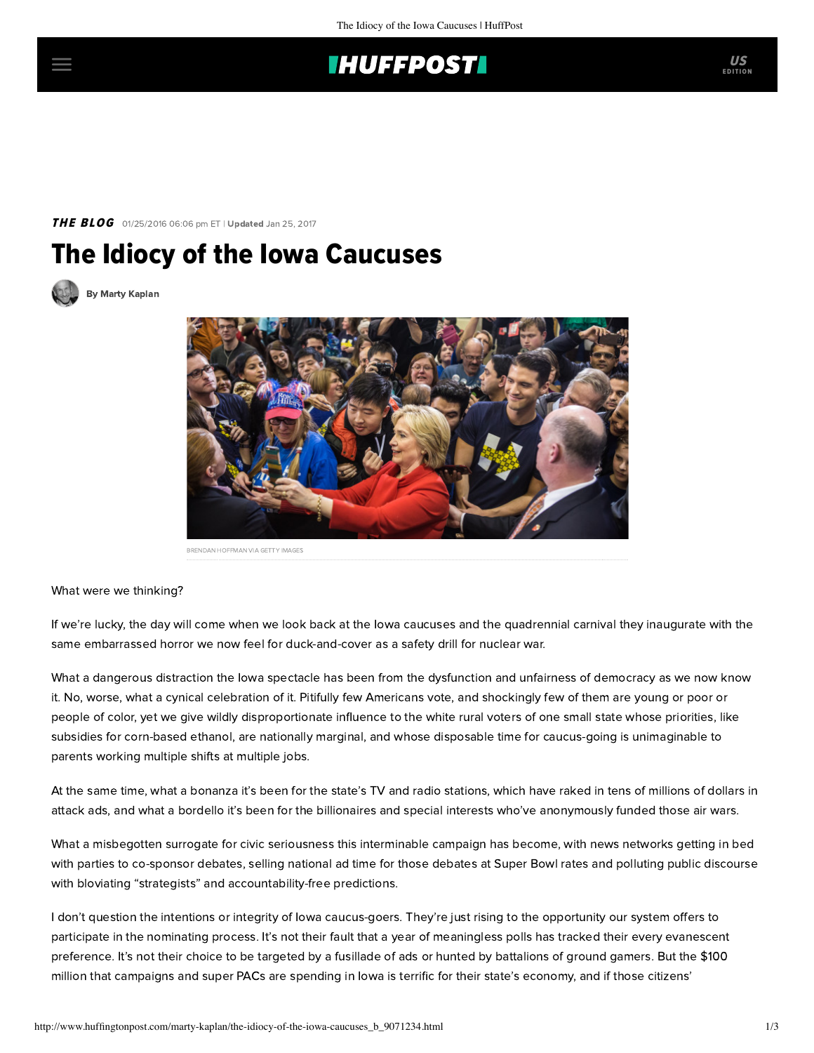# **IHUFFPOSTI**

## **THE BLOG** 01/25/2016 06:06 pm ET | Updated Jan 25, 2017

# The Idiocy of the Iowa Caucuses

[By Marty Kaplan](http://www.huffingtonpost.com/author/marty-kaplan)



What were we thinking?

If we're lucky, the day will come when we look back at the Iowa caucuses and the quadrennial carnival they inaugurate with the same embarrassed horror we now feel for duck-and-cover as a safety drill for nuclear war.

What a dangerous distraction the Iowa spectacle has been from the dysfunction and unfairness of democracy as we now know it. No, worse, what a cynical celebration of it. Pitifully few Americans vote, and shockingly few of them are young or poor or people of color, yet we give wildly disproportionate influence to the white rural voters of one small state whose priorities, like subsidies for corn-based ethanol, are nationally marginal, and whose disposable time for caucus-going is unimaginable to parents working multiple shifts at multiple jobs.

At the same time, what a bonanza it's been for the state's TV and radio stations, which have raked in tens of millions of dollars in attack ads, and what a bordello it's been for the billionaires and special interests who've anonymously funded those air wars.

What a misbegotten surrogate for civic seriousness this interminable campaign has become, with news networks getting in bed with parties to co-sponsor debates, selling national ad time for those debates at Super Bowl rates and polluting public discourse with bloviating "strategists" and accountability-free predictions.

I don't question the intentions or integrity of Iowa caucus-goers. They're just rising to the opportunity our system offers to participate in the nominating process. It's not their fault that a year of meaningless polls has tracked their every evanescent preference. It's not their choice to be targeted by a fusillade of ads or hunted by battalions of ground gamers. But the \$100 million that campaigns and super PACs are spending in Iowa is terrific for their state's economy, and if those citizens'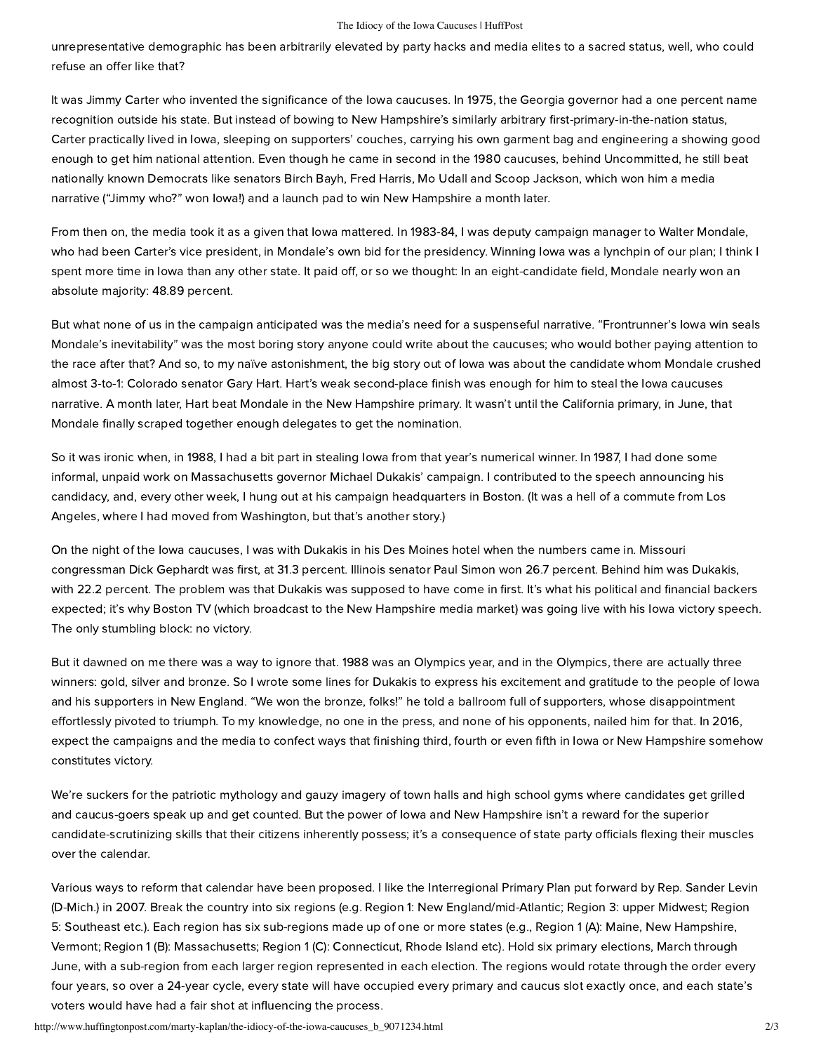#### The Idiocy of the Iowa Caucuses | HuffPost

unrepresentative demographic has been arbitrarily elevated by party hacks and media elites to a sacred status, well, who could refuse an offer like that?

It was Jimmy Carter who invented the significance of the Iowa caucuses. In 1975, the Georgia governor had a one percent name recognition outside his state. But instead of bowing to New Hampshire's similarly arbitrary first-primary-in-the-nation status, Carter practically lived in Iowa, sleeping on supporters' couches, carrying his own garment bag and engineering a showing good enough to get him national attention. Even though he came in second in the 1980 caucuses, behind Uncommitted, he still beat nationally known Democrats like senators Birch Bayh, Fred Harris, Mo Udall and Scoop Jackson, which won him a media narrative ("Jimmy who?" won Iowa!) and a launch pad to win New Hampshire a month later.

From then on, the media took it as a given that Iowa mattered. In 1983-84, I was deputy campaign manager to Walter Mondale, who had been Carter's vice president, in Mondale's own bid for the presidency. Winning Iowa was a lynchpin of our plan; I think I spent more time in Iowa than any other state. It paid off, or so we thought: In an eight-candidate field, Mondale nearly won an absolute majority: 48.89 percent.

But what none of us in the campaign anticipated was the media's need for a suspenseful narrative. "Frontrunner's Iowa win seals Mondale's inevitability" was the most boring story anyone could write about the caucuses; who would bother paying attention to the race after that? And so, to my naïve astonishment, the big story out of Iowa was about the candidate whom Mondale crushed almost 3-to-1: Colorado senator Gary Hart. Hart's weak second-place finish was enough for him to steal the Iowa caucuses narrative. A month later, Hart beat Mondale in the New Hampshire primary. It wasn't until the California primary, in June, that Mondale finally scraped together enough delegates to get the nomination.

So it was ironic when, in 1988, I had a bit part in stealing Iowa from that year's numerical winner. In 1987, I had done some informal, unpaid work on Massachusetts governor Michael Dukakis' campaign. I contributed to the speech announcing his candidacy, and, every other week, I hung out at his campaign headquarters in Boston. (It was a hell of a commute from Los Angeles, where I had moved from Washington, but that's another story.)

On the night of the Iowa caucuses, I was with Dukakis in his Des Moines hotel when the numbers came in. Missouri congressman Dick Gephardt was first, at 31.3 percent. Illinois senator Paul Simon won 26.7 percent. Behind him was Dukakis, with 22.2 percent. The problem was that Dukakis was supposed to have come in first. It's what his political and financial backers expected; it's why Boston TV (which broadcast to the New Hampshire media market) was going live with his Iowa victory speech. The only stumbling block: no victory.

But it dawned on me there was a way to ignore that. 1988 was an Olympics year, and in the Olympics, there are actually three winners: gold, silver and bronze. So I wrote some lines for Dukakis to express his excitement and gratitude to the people of Iowa and his supporters in New England. "We won the bronze, folks!" he told a ballroom full of supporters, whose disappointment effortlessly pivoted to triumph. To my knowledge, no one in the press, and none of his opponents, nailed him for that. In 2016, expect the campaigns and the media to confect ways that finishing third, fourth or even fifth in Iowa or New Hampshire somehow constitutes victory.

We're suckers for the patriotic mythology and gauzy imagery of town halls and high school gyms where candidates get grilled and caucus-goers speak up and get counted. But the power of Iowa and New Hampshire isn't a reward for the superior candidate-scrutinizing skills that their citizens inherently possess; it's a consequence of state party officials flexing their muscles over the calendar.

Various ways to reform that calendar have been proposed. I like the [Interregional Primary Plan](http://thehill.com/blogs/congress-blog/politics/28771-time-to-fix-our-broken-primary-system) put forward by Rep. Sander Levin (D-Mich.) in 2007. Break the country into six regions (e.g. Region 1: New England/mid-Atlantic; Region 3: upper Midwest; Region 5: Southeast etc.). Each region has six sub-regions made up of one or more states (e.g., Region 1 (A): Maine, New Hampshire, Vermont; Region 1 (B): Massachusetts; Region 1 (C): Connecticut, Rhode Island etc). Hold six primary elections, March through June, with a sub-region from each larger region represented in each election. The regions would rotate through the order every four years, so over a 24-year cycle, every state will have occupied every primary and caucus slot exactly once, and each state's voters would have had a fair shot at influencing the process.